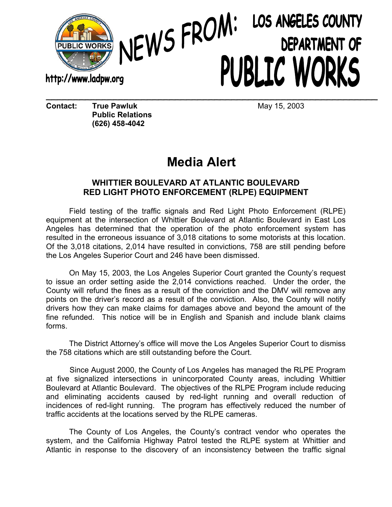

## NEWS FROM: LOS ANGELES COUNTY PUBLIC WORKS \_\_\_\_\_\_\_\_\_\_\_\_\_\_\_\_\_\_\_\_\_\_\_\_\_\_\_\_\_\_\_\_\_\_\_\_\_\_\_\_\_\_\_\_\_\_\_\_\_\_\_\_\_\_\_\_\_\_\_

**Contact: True Pawluk 15, 2003 Public Relations (626) 458-4042** 

## **Media Alert**

## **WHITTIER BOULEVARD AT ATLANTIC BOULEVARD RED LIGHT PHOTO ENFORCEMENT (RLPE) EQUIPMENT**

Field testing of the traffic signals and Red Light Photo Enforcement (RLPE) equipment at the intersection of Whittier Boulevard at Atlantic Boulevard in East Los Angeles has determined that the operation of the photo enforcement system has resulted in the erroneous issuance of 3,018 citations to some motorists at this location. Of the 3,018 citations, 2,014 have resulted in convictions, 758 are still pending before the Los Angeles Superior Court and 246 have been dismissed.

On May 15, 2003, the Los Angeles Superior Court granted the County's request to issue an order setting aside the 2,014 convictions reached. Under the order, the County will refund the fines as a result of the conviction and the DMV will remove any points on the driver's record as a result of the conviction. Also, the County will notify drivers how they can make claims for damages above and beyond the amount of the fine refunded. This notice will be in English and Spanish and include blank claims forms.

The District Attorney's office will move the Los Angeles Superior Court to dismiss the 758 citations which are still outstanding before the Court.

 Since August 2000, the County of Los Angeles has managed the RLPE Program at five signalized intersections in unincorporated County areas, including Whittier Boulevard at Atlantic Boulevard. The objectives of the RLPE Program include reducing and eliminating accidents caused by red-light running and overall reduction of incidences of red-light running. The program has effectively reduced the number of traffic accidents at the locations served by the RLPE cameras.

The County of Los Angeles, the County's contract vendor who operates the system, and the California Highway Patrol tested the RLPE system at Whittier and Atlantic in response to the discovery of an inconsistency between the traffic signal